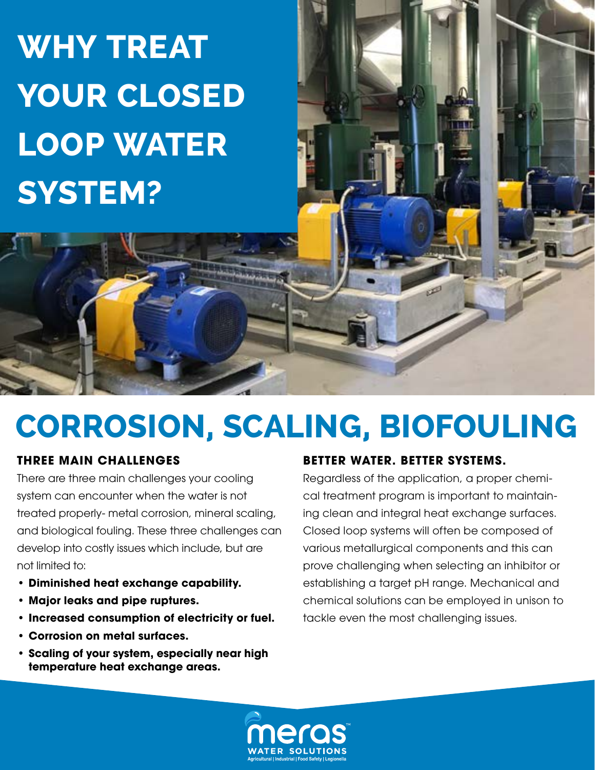# **WHY TREAT YOUR CLOSED LOOP WATER SYSTEM?**

## **CORROSION, SCALING, BIOFOULING**

### **THREE MAIN CHALLENGES**

There are three main challenges your cooling system can encounter when the water is not treated properly- metal corrosion, mineral scaling, and biological fouling. These three challenges can develop into costly issues which include, but are not limited to:

- **• Diminished heat exchange capability.**
- **• Major leaks and pipe ruptures.**
- **• Increased consumption of electricity or fuel.**
- **• Corrosion on metal surfaces.**
- **• Scaling of your system, especially near high temperature heat exchange areas.**

### **BETTER WATER. BETTER SYSTEMS.**

Regardless of the application, a proper chemical treatment program is important to maintaining clean and integral heat exchange surfaces. Closed loop systems will often be composed of various metallurgical components and this can prove challenging when selecting an inhibitor or establishing a target pH range. Mechanical and chemical solutions can be employed in unison to tackle even the most challenging issues.

ى